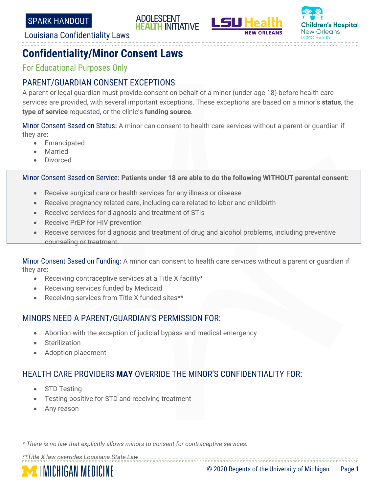





#### Louisiana Confidentiality Laws

# **Confidentiality/Minor Consent Laws**

For Educational Purposes Only

#### PARENT/GUARDIAN CONSENT EXCEPTIONS

A parent or legal guardian must provide consent on behalf of a minor (under age 18) before health care services are provided, with several important exceptions. These exceptions are based on a minor's **status**, the **type of service** requested, or the clinic's **funding source**.

Minor Consent Based on Status**:** A minor can consent to health care services without a parent or guardian if they are:

- **Emancipated**
- **Married**
- Divorced

Minor Consent Based on Service**: Patients under 18 are able to do the following WITHOUT parental consent:**

- Receive surgical care or health services for any illness or disease
- Receive pregnancy related care, including care related to labor and childbirth
- Receive services for diagnosis and treatment of STIs
- Receive PrEP for HIV prevention
- Receive services for diagnosis and treatment of drug and alcohol problems, including preventive counseling or treatment.

Minor Consent Based on Funding**:** A minor can consent to health care services without a parent or guardian if they are:

- Receiving contraceptive services at a Title X facility\*
- Receiving services funded by Medicaid
- Receiving services from Title X funded sites\*\*

### MINORS NEED A PARENT/GUARDIAN'S PERMISSION FOR:

- Abortion with the exception of judicial bypass and medical emergency
- **Sterilization**
- Adoption placement

## HEALTH CARE PROVIDERS **MAY** OVERRIDE THE MINOR'S CONFIDENTIALITY FOR:

- STD Testing
- Testing positive for STD and receiving treatment
- Any reason

*\* There is no law that explicitly allows minors to consent for contraceptive services.*

*\*\*Title X law overrides Louisiana State Law.*